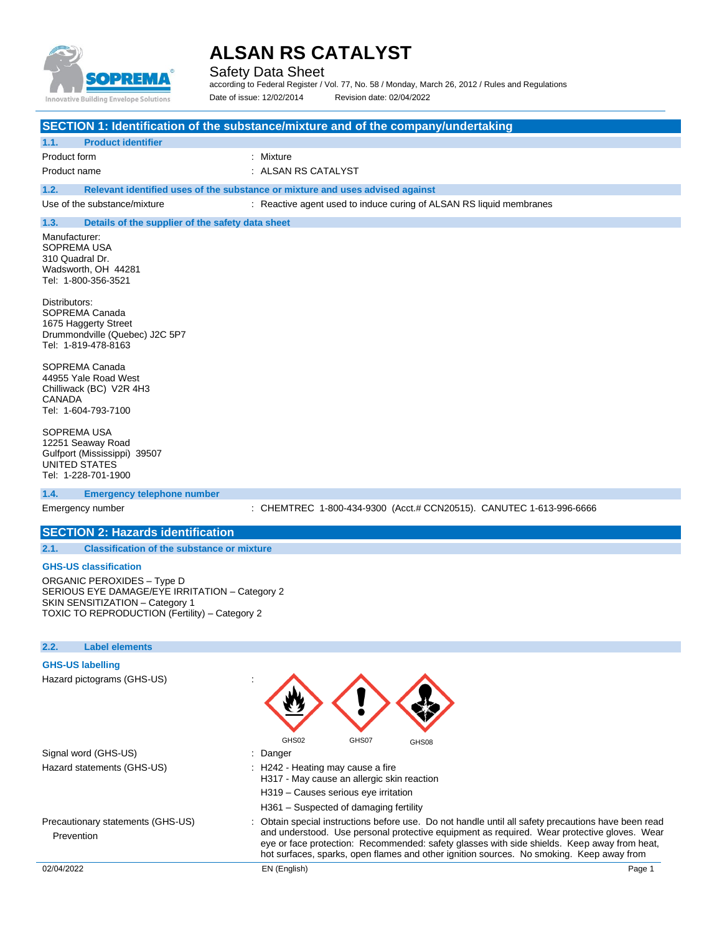

Safety Data Sheet

according to Federal Register / Vol. 77, No. 58 / Monday, March 26, 2012 / Rules and Regulations Date of issue: 12/02/2014 Revision date: 02/04/2022

### **SECTION 1: Identification of the substance/mixture and of the company/undertaking**

| 1.1. | <b>Product identifier</b> |                     |
|------|---------------------------|---------------------|
|      | Product form              | : Mixture           |
|      | Product name              | : ALSAN RS CATALYST |

**1.2. Relevant identified uses of the substance or mixture and uses advised against**

Use of the substance/mixture : Reactive agent used to induce curing of ALSAN RS liquid membranes

### **1.3. Details of the supplier of the safety data sheet**

Manufacturer: SOPREMA USA 310 Quadral Dr. Wadsworth, OH 44281 Tel: 1-800-356-3521

Distributors: SOPREMA Canada 1675 Haggerty Street Drummondville (Quebec) J2C 5P7 Tel: 1-819-478-8163

SOPREMA Canada 44955 Yale Road West Chilliwack (BC) V2R 4H3 CANADA Tel: 1-604-793-7100

SOPREMA USA 12251 Seaway Road Gulfport (Mississippi) 39507 UNITED STATES Tel: 1-228-701-1900

#### **1.4. Emergency telephone number**

Emergency number : CHEMTREC 1-800-434-9300 (Acct.# CCN20515). CANUTEC 1-613-996-6666

### **SECTION 2: Hazards identification**

**2.1. Classification of the substance or mixture**

#### **GHS-US classification**

ORGANIC PEROXIDES – Type D SERIOUS EYE DAMAGE/EYE IRRITATION – Category 2 SKIN SENSITIZATION – Category 1 TOXIC TO REPRODUCTION (Fertility) – Category 2

#### **2.2. Label elements**

#### **GHS-US labelling**

Hazard pictograms (GHS-US) :

| Hazalu pictugialiis (GHS-0S)                    |                                                                                                                                                                                                                                                                                                                                                                                               |        |  |
|-------------------------------------------------|-----------------------------------------------------------------------------------------------------------------------------------------------------------------------------------------------------------------------------------------------------------------------------------------------------------------------------------------------------------------------------------------------|--------|--|
|                                                 | GHS02<br>GHS07<br>GHS08                                                                                                                                                                                                                                                                                                                                                                       |        |  |
| Signal word (GHS-US)                            | $\therefore$ Danger                                                                                                                                                                                                                                                                                                                                                                           |        |  |
| Hazard statements (GHS-US)                      | : H242 - Heating may cause a fire<br>H317 - May cause an allergic skin reaction                                                                                                                                                                                                                                                                                                               |        |  |
|                                                 | H319 - Causes serious eye irritation                                                                                                                                                                                                                                                                                                                                                          |        |  |
|                                                 | H361 – Suspected of damaging fertility                                                                                                                                                                                                                                                                                                                                                        |        |  |
| Precautionary statements (GHS-US)<br>Prevention | : Obtain special instructions before use. Do not handle until all safety precautions have been read<br>and understood. Use personal protective equipment as required. Wear protective gloves. Wear<br>eye or face protection: Recommended: safety glasses with side shields. Keep away from heat,<br>hot surfaces, sparks, open flames and other ignition sources. No smoking. Keep away from |        |  |
| 02/04/2022                                      | EN (English)                                                                                                                                                                                                                                                                                                                                                                                  | Page 1 |  |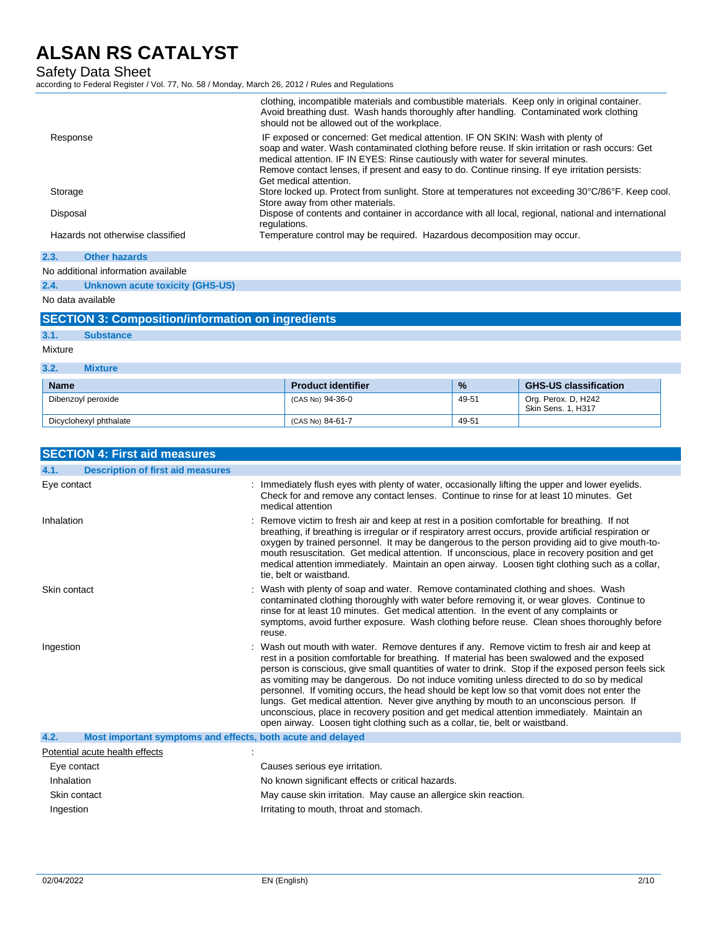Safety Data Sheet

according to Federal Register / Vol. 77, No. 58 / Monday, March 26, 2012 / Rules and Regulations

|                                  | clothing, incompatible materials and combustible materials. Keep only in original container.<br>Avoid breathing dust. Wash hands thoroughly after handling. Contaminated work clothing<br>should not be allowed out of the workplace.                                                                                                                                                              |
|----------------------------------|----------------------------------------------------------------------------------------------------------------------------------------------------------------------------------------------------------------------------------------------------------------------------------------------------------------------------------------------------------------------------------------------------|
| Response                         | IF exposed or concerned: Get medical attention. IF ON SKIN: Wash with plenty of<br>soap and water. Wash contaminated clothing before reuse. If skin irritation or rash occurs: Get<br>medical attention. IF IN EYES: Rinse cautiously with water for several minutes.<br>Remove contact lenses, if present and easy to do. Continue rinsing. If eye irritation persists:<br>Get medical attention. |
| Storage                          | Store locked up. Protect from sunlight. Store at temperatures not exceeding 30°C/86°F. Keep cool.<br>Store away from other materials.                                                                                                                                                                                                                                                              |
| Disposal                         | Dispose of contents and container in accordance with all local, regional, national and international<br>regulations.                                                                                                                                                                                                                                                                               |
| Hazards not otherwise classified | Temperature control may be required. Hazardous decomposition may occur.                                                                                                                                                                                                                                                                                                                            |
| 23<br>Other hazards              |                                                                                                                                                                                                                                                                                                                                                                                                    |

| No additional information available |
|-------------------------------------|
|                                     |

**2.4. Unknown acute toxicity (GHS-US)**

No data available

# **SECTION 3: Composition/information on ingredients**

| - 33 pm | <b>Supstance</b> |
|---------|------------------|
|         |                  |
|         |                  |

Mixture

| 3.2.<br>Mixture        |                           |               |                                                  |
|------------------------|---------------------------|---------------|--------------------------------------------------|
| <b>Name</b>            | <b>Product identifier</b> | $\frac{1}{2}$ | <b>GHS-US classification</b>                     |
| Dibenzoyl peroxide     | (CAS No) 94-36-0          | 49-51         | Org. Perox. D, H242<br><b>Skin Sens. 1. H317</b> |
| Dicyclohexyl phthalate | (CAS No) 84-61-7          | 49-51         |                                                  |

| <b>SECTION 4: First aid measures</b>                                |                                                                                                                                                                                                                                                                                                                                                                                                                                                                                                                                                                                                                                                                                                                                                                       |
|---------------------------------------------------------------------|-----------------------------------------------------------------------------------------------------------------------------------------------------------------------------------------------------------------------------------------------------------------------------------------------------------------------------------------------------------------------------------------------------------------------------------------------------------------------------------------------------------------------------------------------------------------------------------------------------------------------------------------------------------------------------------------------------------------------------------------------------------------------|
| 4.1.<br><b>Description of first aid measures</b>                    |                                                                                                                                                                                                                                                                                                                                                                                                                                                                                                                                                                                                                                                                                                                                                                       |
| Eye contact                                                         | : Immediately flush eyes with plenty of water, occasionally lifting the upper and lower eyelids.<br>Check for and remove any contact lenses. Continue to rinse for at least 10 minutes. Get<br>medical attention                                                                                                                                                                                                                                                                                                                                                                                                                                                                                                                                                      |
| Inhalation                                                          | : Remove victim to fresh air and keep at rest in a position comfortable for breathing. If not<br>breathing, if breathing is irregular or if respiratory arrest occurs, provide artificial respiration or<br>oxygen by trained personnel. It may be dangerous to the person providing aid to give mouth-to-<br>mouth resuscitation. Get medical attention. If unconscious, place in recovery position and get<br>medical attention immediately. Maintain an open airway. Loosen tight clothing such as a collar,<br>tie, belt or waistband.                                                                                                                                                                                                                            |
| Skin contact                                                        | : Wash with plenty of soap and water. Remove contaminated clothing and shoes. Wash<br>contaminated clothing thoroughly with water before removing it, or wear gloves. Continue to<br>rinse for at least 10 minutes. Get medical attention. In the event of any complaints or<br>symptoms, avoid further exposure. Wash clothing before reuse. Clean shoes thoroughly before<br>reuse.                                                                                                                                                                                                                                                                                                                                                                                 |
| Ingestion                                                           | : Wash out mouth with water. Remove dentures if any. Remove victim to fresh air and keep at<br>rest in a position comfortable for breathing. If material has been swalowed and the exposed<br>person is conscious, give small quantities of water to drink. Stop if the exposed person feels sick<br>as vomiting may be dangerous. Do not induce vomiting unless directed to do so by medical<br>personnel. If vomiting occurs, the head should be kept low so that vomit does not enter the<br>lungs. Get medical attention. Never give anything by mouth to an unconscious person. If<br>unconscious, place in recovery position and get medical attention immediately. Maintain an<br>open airway. Loosen tight clothing such as a collar, tie, belt or waistband. |
| 4.2.<br>Most important symptoms and effects, both acute and delayed |                                                                                                                                                                                                                                                                                                                                                                                                                                                                                                                                                                                                                                                                                                                                                                       |
| Potential acute health effects                                      |                                                                                                                                                                                                                                                                                                                                                                                                                                                                                                                                                                                                                                                                                                                                                                       |
| Eye contact                                                         | Causes serious eye irritation.                                                                                                                                                                                                                                                                                                                                                                                                                                                                                                                                                                                                                                                                                                                                        |
| Inhalation                                                          | No known significant effects or critical hazards.                                                                                                                                                                                                                                                                                                                                                                                                                                                                                                                                                                                                                                                                                                                     |
| Skin contact                                                        | May cause skin irritation. May cause an allergice skin reaction.                                                                                                                                                                                                                                                                                                                                                                                                                                                                                                                                                                                                                                                                                                      |
| Ingestion                                                           | Irritating to mouth, throat and stomach.                                                                                                                                                                                                                                                                                                                                                                                                                                                                                                                                                                                                                                                                                                                              |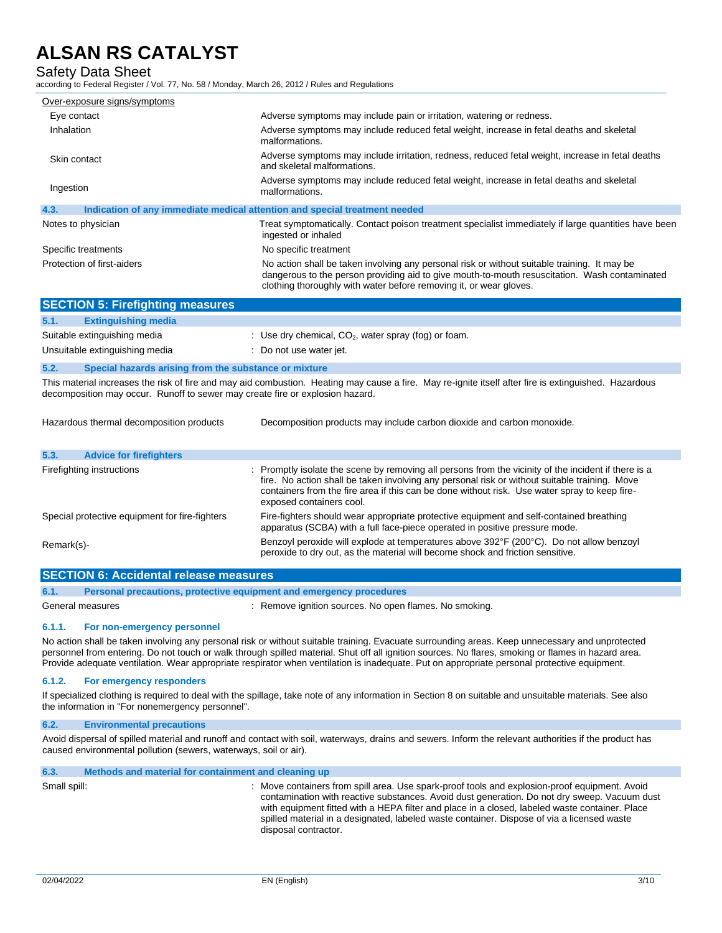# Safety Data Sheet

according to Federal Register / Vol. 77, No. 58 / Monday, March 26, 2012 / Rules and Regulations

| Over-exposure signs/symptoms |                                                                                                                                                                                                                                                                     |
|------------------------------|---------------------------------------------------------------------------------------------------------------------------------------------------------------------------------------------------------------------------------------------------------------------|
| Eye contact                  | Adverse symptoms may include pain or irritation, watering or redness.                                                                                                                                                                                               |
| Inhalation                   | Adverse symptoms may include reduced fetal weight, increase in fetal deaths and skeletal<br>malformations.                                                                                                                                                          |
| Skin contact                 | Adverse symptoms may include irritation, redness, reduced fetal weight, increase in fetal deaths<br>and skeletal malformations.                                                                                                                                     |
| Ingestion                    | Adverse symptoms may include reduced fetal weight, increase in fetal deaths and skeletal<br>malformations.                                                                                                                                                          |
| 4.3.                         | Indication of any immediate medical attention and special treatment needed                                                                                                                                                                                          |
| Notes to physician           | Treat symptomatically. Contact poison treatment specialist immediately if large quantities have been<br>ingested or inhaled                                                                                                                                         |
| Specific treatments          | No specific treatment                                                                                                                                                                                                                                               |
| Protection of first-aiders   | No action shall be taken involving any personal risk or without suitable training. It may be<br>dangerous to the person providing aid to give mouth-to-mouth resuscitation. Wash contaminated<br>clothing thoroughly with water before removing it, or wear gloves. |

|      | <b>SECTION 5: Firefighting measures</b>               |                                                        |
|------|-------------------------------------------------------|--------------------------------------------------------|
| 5.1. | <b>Extinguishing media</b>                            |                                                        |
|      | Suitable extinguishing media                          | : Use dry chemical, $CO2$ , water spray (fog) or foam. |
|      | Unsuitable extinguishing media                        | : Do not use water jet.                                |
| 5.2. | Special hazards arising from the substance or mixture |                                                        |

This material increases the risk of fire and may aid combustion. Heating may cause a fire. May re-ignite itself after fire is extinguished. Hazardous decomposition may occur. Runoff to sewer may create fire or explosion hazard.

| Hazardous thermal decomposition products       | Decomposition products may include carbon dioxide and carbon monoxide.                                                                                                                                                                                                                                                             |  |
|------------------------------------------------|------------------------------------------------------------------------------------------------------------------------------------------------------------------------------------------------------------------------------------------------------------------------------------------------------------------------------------|--|
| 5.3.<br><b>Advice for firefighters</b>         |                                                                                                                                                                                                                                                                                                                                    |  |
| Firefighting instructions                      | : Promptly isolate the scene by removing all persons from the vicinity of the incident if there is a<br>fire. No action shall be taken involving any personal risk or without suitable training. Move<br>containers from the fire area if this can be done without risk. Use water spray to keep fire-<br>exposed containers cool. |  |
| Special protective equipment for fire-fighters | Fire-fighters should wear appropriate protective equipment and self-contained breathing<br>apparatus (SCBA) with a full face-piece operated in positive pressure mode.                                                                                                                                                             |  |
| Remark(s)-                                     | Benzoyl peroxide will explode at temperatures above 392°F (200°C). Do not allow benzoyl<br>peroxide to dry out, as the material will become shock and friction sensitive.                                                                                                                                                          |  |

|      | <b>SECTION 6: Accidental release measures</b>                       |                                                        |  |
|------|---------------------------------------------------------------------|--------------------------------------------------------|--|
| 6.1. | Personal precautions, protective equipment and emergency procedures |                                                        |  |
|      | General measures                                                    | : Remove ignition sources. No open flames. No smoking. |  |

#### **6.1.1. For non-emergency personnel**

No action shall be taken involving any personal risk or without suitable training. Evacuate surrounding areas. Keep unnecessary and unprotected personnel from entering. Do not touch or walk through spilled material. Shut off all ignition sources. No flares, smoking or flames in hazard area. Provide adequate ventilation. Wear appropriate respirator when ventilation is inadequate. Put on appropriate personal protective equipment.

#### **6.1.2. For emergency responders**

If specialized clothing is required to deal with the spillage, take note of any information in Section 8 on suitable and unsuitable materials. See also the information in "For nonemergency personnel".

### **6.2. Environmental precautions**

Avoid dispersal of spilled material and runoff and contact with soil, waterways, drains and sewers. Inform the relevant authorities if the product has caused environmental pollution (sewers, waterways, soil or air).

## **6.3. Methods and material for containment and cleaning up**

Small spill: **interpretent and spill spilled area** in the containers from spill area. Use spark-proof tools and explosion-proof equipment. Avoid contamination with reactive substances. Avoid dust generation. Do not dry sweep. Vacuum dust with equipment fitted with a HEPA filter and place in a closed, labeled waste container. Place spilled material in a designated, labeled waste container. Dispose of via a licensed waste disposal contractor.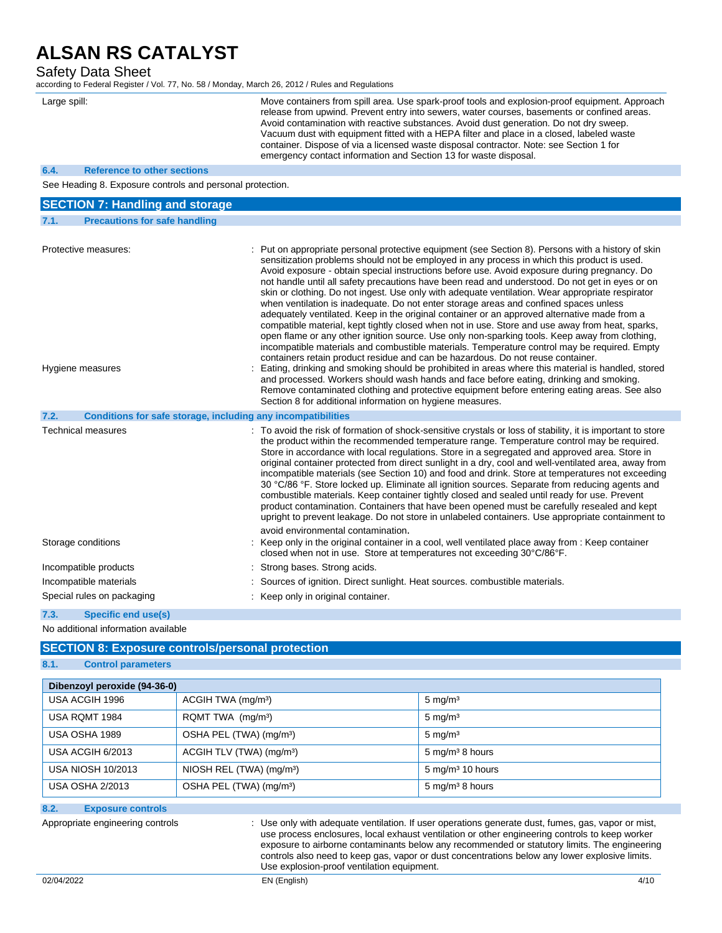## Safety Data Sheet

according to Federal Register / Vol. 77, No. 58 / Monday, March 26, 2012 / Rules and Regulations

| Large spill:                                              | Move containers from spill area. Use spark-proof tools and explosion-proof equipment. Approach<br>release from upwind. Prevent entry into sewers, water courses, basements or confined areas.<br>Avoid contamination with reactive substances. Avoid dust generation. Do not dry sweep.<br>Vacuum dust with equipment fitted with a HEPA filter and place in a closed, labeled waste<br>container. Dispose of via a licensed waste disposal contractor. Note: see Section 1 for<br>emergency contact information and Section 13 for waste disposal.                                                                                                                                                                                                                                                                                                                                                                                                                                                    |
|-----------------------------------------------------------|--------------------------------------------------------------------------------------------------------------------------------------------------------------------------------------------------------------------------------------------------------------------------------------------------------------------------------------------------------------------------------------------------------------------------------------------------------------------------------------------------------------------------------------------------------------------------------------------------------------------------------------------------------------------------------------------------------------------------------------------------------------------------------------------------------------------------------------------------------------------------------------------------------------------------------------------------------------------------------------------------------|
| 6.4.<br><b>Reference to other sections</b>                |                                                                                                                                                                                                                                                                                                                                                                                                                                                                                                                                                                                                                                                                                                                                                                                                                                                                                                                                                                                                        |
| See Heading 8. Exposure controls and personal protection. |                                                                                                                                                                                                                                                                                                                                                                                                                                                                                                                                                                                                                                                                                                                                                                                                                                                                                                                                                                                                        |
| <b>SECTION 7: Handling and storage</b>                    |                                                                                                                                                                                                                                                                                                                                                                                                                                                                                                                                                                                                                                                                                                                                                                                                                                                                                                                                                                                                        |
| <b>Precautions for safe handling</b><br>7.1.              |                                                                                                                                                                                                                                                                                                                                                                                                                                                                                                                                                                                                                                                                                                                                                                                                                                                                                                                                                                                                        |
|                                                           |                                                                                                                                                                                                                                                                                                                                                                                                                                                                                                                                                                                                                                                                                                                                                                                                                                                                                                                                                                                                        |
| Protective measures:                                      | : Put on appropriate personal protective equipment (see Section 8). Persons with a history of skin<br>sensitization problems should not be employed in any process in which this product is used.<br>Avoid exposure - obtain special instructions before use. Avoid exposure during pregnancy. Do<br>not handle until all safety precautions have been read and understood. Do not get in eyes or on<br>skin or clothing. Do not ingest. Use only with adequate ventilation. Wear appropriate respirator<br>when ventilation is inadequate. Do not enter storage areas and confined spaces unless<br>adequately ventilated. Keep in the original container or an approved alternative made from a<br>compatible material, kept tightly closed when not in use. Store and use away from heat, sparks,<br>open flame or any other ignition source. Use only non-sparking tools. Keep away from clothing,<br>incompatible materials and combustible materials. Temperature control may be required. Empty |

containers retain product residue and can be hazardous. Do not reuse container. Hygiene measures **included in the starting and smoking** should be prohibited in areas where this material is handled, stored and processed. Workers should wash hands and face before eating, drinking and smoking. Remove contaminated clothing and protective equipment before entering eating areas. See also Section 8 for additional information on hygiene measures. **7.2. Conditions for safe storage, including any incompatibilities**

| <b>Technical measures</b>  | : To avoid the risk of formation of shock-sensitive crystals or loss of stability, it is important to store<br>the product within the recommended temperature range. Temperature control may be required.<br>Store in accordance with local regulations. Store in a segregated and approved area. Store in<br>original container protected from direct sunlight in a dry, cool and well-ventilated area, away from<br>incompatible materials (see Section 10) and food and drink. Store at temperatures not exceeding<br>30 °C/86 °F. Store locked up. Eliminate all ignition sources. Separate from reducing agents and<br>combustible materials. Keep container tightly closed and sealed until ready for use. Prevent<br>product contamination. Containers that have been opened must be carefully resealed and kept<br>upright to prevent leakage. Do not store in unlabeled containers. Use appropriate containment to |
|----------------------------|-----------------------------------------------------------------------------------------------------------------------------------------------------------------------------------------------------------------------------------------------------------------------------------------------------------------------------------------------------------------------------------------------------------------------------------------------------------------------------------------------------------------------------------------------------------------------------------------------------------------------------------------------------------------------------------------------------------------------------------------------------------------------------------------------------------------------------------------------------------------------------------------------------------------------------|
| Storage conditions         | avoid environmental contamination.<br>: Keep only in the original container in a cool, well ventilated place away from : Keep container<br>closed when not in use. Store at temperatures not exceeding 30°C/86°F.                                                                                                                                                                                                                                                                                                                                                                                                                                                                                                                                                                                                                                                                                                           |
| Incompatible products      | : Strong bases. Strong acids.                                                                                                                                                                                                                                                                                                                                                                                                                                                                                                                                                                                                                                                                                                                                                                                                                                                                                               |
| Incompatible materials     | : Sources of ignition. Direct sunlight. Heat sources. combustible materials.                                                                                                                                                                                                                                                                                                                                                                                                                                                                                                                                                                                                                                                                                                                                                                                                                                                |
| Special rules on packaging | : Keep only in original container.                                                                                                                                                                                                                                                                                                                                                                                                                                                                                                                                                                                                                                                                                                                                                                                                                                                                                          |

**7.3. Specific end use(s)**

No additional information available

# **SECTION 8: Exposure controls/personal protection**

# **8.1. Control parameters**

| Dibenzoyl peroxide (94-36-0) |                                      |                             |  |
|------------------------------|--------------------------------------|-----------------------------|--|
| USA ACGIH 1996               | ACGIH TWA (mg/m <sup>3</sup> )       | $5 \text{ mg/m}^3$          |  |
| USA RQMT 1984                | RQMT TWA (mg/m <sup>3</sup> )        | $5 \text{ mg/m}^3$          |  |
| USA OSHA 1989                | OSHA PEL (TWA) (mg/m <sup>3</sup> )  | $5 \text{ mg/m}^3$          |  |
| USA ACGIH 6/2013             | ACGIH TLV (TWA) (mg/m <sup>3</sup> ) | $5 \text{ mg/m}^3$ 8 hours  |  |
| <b>USA NIOSH 10/2013</b>     | NIOSH REL (TWA) (mg/m <sup>3</sup> ) | $5 \text{ mg/m}^3$ 10 hours |  |
| <b>USA OSHA 2/2013</b>       | OSHA PEL (TWA) (mg/m <sup>3</sup> )  | 5 mg/m <sup>3</sup> 8 hours |  |

# **8.2. Exposure controls**

Appropriate engineering controls **intercatable 20** : Use only with adequate ventilation. If user operations generate dust, fumes, gas, vapor or mist, use process enclosures, local exhaust ventilation or other engineering controls to keep worker exposure to airborne contaminants below any recommended or statutory limits. The engineering controls also need to keep gas, vapor or dust concentrations below any lower explosive limits. Use explosion-proof ventilation equipment.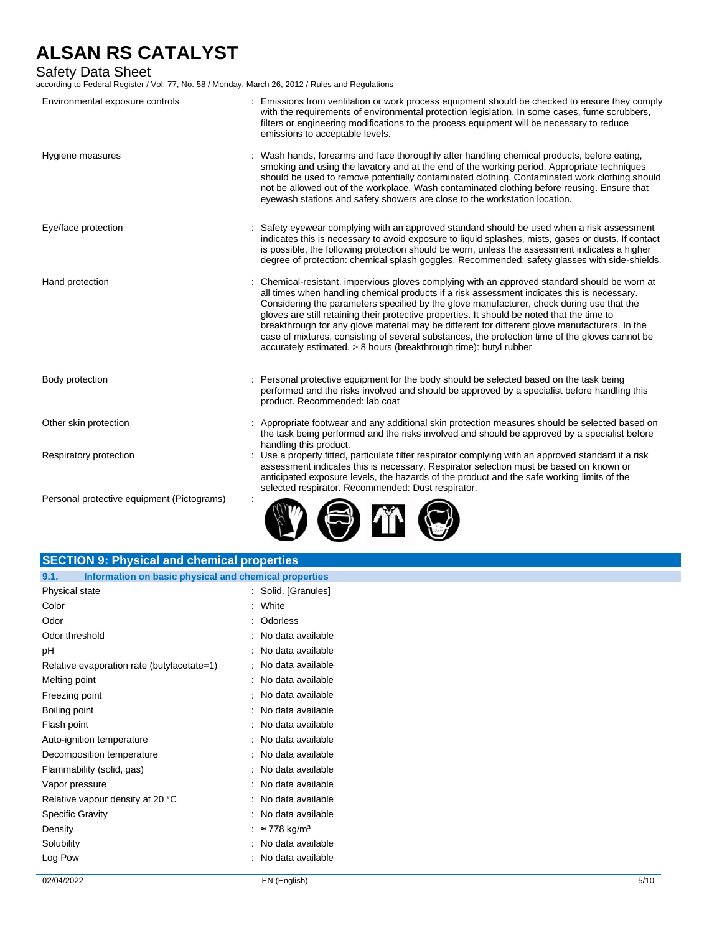# Safety Data Sheet

according to Federal Register / Vol. 77, No. 58 / Monday, March 26, 2012 / Rules and Regulations

| Environmental exposure controls            | : Emissions from ventilation or work process equipment should be checked to ensure they comply<br>with the requirements of environmental protection legislation. In some cases, fume scrubbers,<br>filters or engineering modifications to the process equipment will be necessary to reduce<br>emissions to acceptable levels.                                                                                                                                                                                                                                                                                                                                    |
|--------------------------------------------|--------------------------------------------------------------------------------------------------------------------------------------------------------------------------------------------------------------------------------------------------------------------------------------------------------------------------------------------------------------------------------------------------------------------------------------------------------------------------------------------------------------------------------------------------------------------------------------------------------------------------------------------------------------------|
| Hygiene measures                           | : Wash hands, forearms and face thoroughly after handling chemical products, before eating,<br>smoking and using the lavatory and at the end of the working period. Appropriate techniques<br>should be used to remove potentially contaminated clothing. Contaminated work clothing should<br>not be allowed out of the workplace. Wash contaminated clothing before reusing. Ensure that<br>eyewash stations and safety showers are close to the workstation location.                                                                                                                                                                                           |
| Eye/face protection                        | : Safety eyewear complying with an approved standard should be used when a risk assessment<br>indicates this is necessary to avoid exposure to liquid splashes, mists, gases or dusts. If contact<br>is possible, the following protection should be worn, unless the assessment indicates a higher<br>degree of protection: chemical splash goggles. Recommended: safety glasses with side-shields.                                                                                                                                                                                                                                                               |
| Hand protection                            | : Chemical-resistant, impervious gloves complying with an approved standard should be worn at<br>all times when handling chemical products if a risk assessment indicates this is necessary.<br>Considering the parameters specified by the glove manufacturer, check during use that the<br>gloves are still retaining their protective properties. It should be noted that the time to<br>breakthrough for any glove material may be different for different glove manufacturers. In the<br>case of mixtures, consisting of several substances, the protection time of the gloves cannot be<br>accurately estimated. > 8 hours (breakthrough time): butyl rubber |
| Body protection                            | : Personal protective equipment for the body should be selected based on the task being<br>performed and the risks involved and should be approved by a specialist before handling this<br>product. Recommended: lab coat                                                                                                                                                                                                                                                                                                                                                                                                                                          |
| Other skin protection                      | : Appropriate footwear and any additional skin protection measures should be selected based on<br>the task being performed and the risks involved and should be approved by a specialist before<br>handling this product.                                                                                                                                                                                                                                                                                                                                                                                                                                          |
| Respiratory protection                     | Use a properly fitted, particulate filter respirator complying with an approved standard if a risk<br>assessment indicates this is necessary. Respirator selection must be based on known or<br>anticipated exposure levels, the hazards of the product and the safe working limits of the<br>selected respirator. Recommended: Dust respirator.                                                                                                                                                                                                                                                                                                                   |
| Personal protective equipment (Pictograms) |                                                                                                                                                                                                                                                                                                                                                                                                                                                                                                                                                                                                                                                                    |

|      | <b>SECTION 9: Physical and chemical properties</b>    |
|------|-------------------------------------------------------|
| 9.1. | Information on basic physical and chemical properties |

| Physical state                             | Solid. [Granules]               |
|--------------------------------------------|---------------------------------|
| Color                                      | White                           |
| Odor                                       | Odorless                        |
| Odor threshold                             | No data available               |
| рH                                         | No data available               |
| Relative evaporation rate (butylacetate=1) | No data available               |
| Melting point                              | No data available               |
| Freezing point                             | No data available               |
| Boiling point                              | No data available               |
| Flash point                                | No data available               |
| Auto-ignition temperature                  | No data available               |
| Decomposition temperature                  | No data available               |
| Flammability (solid, gas)                  | No data available               |
| Vapor pressure                             | No data available               |
| Relative vapour density at 20 °C           | No data available               |
| <b>Specific Gravity</b>                    | No data available               |
| Density                                    | $\approx$ 778 kg/m <sup>3</sup> |
| Solubility                                 | No data available               |
| Log Pow                                    | No data available               |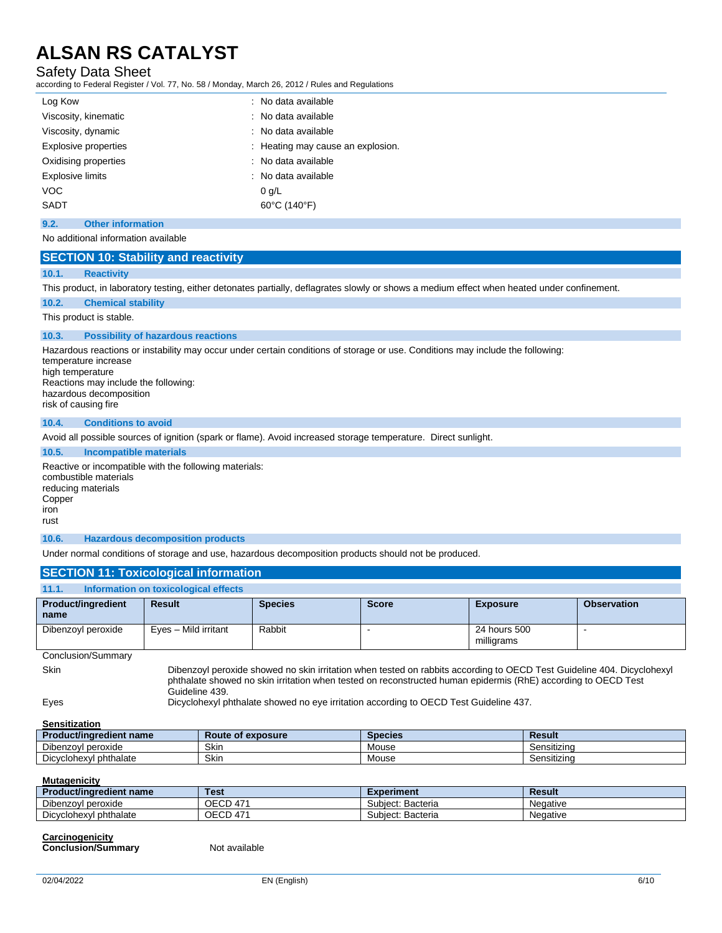# Safety Data Sheet

according to Federal Register / Vol. 77, No. 58 / Monday, March 26, 2012 / Rules and Regulations

| Log Kow                     | : No data available               |
|-----------------------------|-----------------------------------|
| Viscosity, kinematic        | : No data available               |
| Viscosity, dynamic          | : No data available               |
| <b>Explosive properties</b> | : Heating may cause an explosion. |
| Oxidising properties        | : No data available               |
| <b>Explosive limits</b>     | : No data available               |
| <b>VOC</b>                  | 0 q/L                             |
| SADT                        | 60°C (140°F)                      |
|                             |                                   |

## **9.2. Other information**

No additional information available

|  | <b>SECTION 10: Stability and reactivity</b> |  |
|--|---------------------------------------------|--|
|  |                                             |  |

#### **10.1. Reactivity**

This product, in laboratory testing, either detonates partially, deflagrates slowly or shows a medium effect when heated under confinement.

#### **10.2. Chemical stability**

This product is stable.

#### **10.3. Possibility of hazardous reactions**

Hazardous reactions or instability may occur under certain conditions of storage or use. Conditions may include the following: temperature increase high temperature Reactions may include the following:

hazardous decomposition risk of causing fire

#### **10.4. Conditions to avoid**

Avoid all possible sources of ignition (spark or flame). Avoid increased storage temperature. Direct sunlight.

### **10.5. Incompatible materials**

Reactive or incompatible with the following materials: combustible materials reducing materials Copper iron rust

### **10.6. Hazardous decomposition products**

Under normal conditions of storage and use, hazardous decomposition products should not be produced.

### **SECTION 11: Toxicological information**

| 11.1.                             | Information on toxicological effects |                |                                                                                                                                                                                                                                         |                            |                    |
|-----------------------------------|--------------------------------------|----------------|-----------------------------------------------------------------------------------------------------------------------------------------------------------------------------------------------------------------------------------------|----------------------------|--------------------|
| <b>Product/ingredient</b><br>name | <b>Result</b>                        | <b>Species</b> | <b>Score</b>                                                                                                                                                                                                                            | <b>Exposure</b>            | <b>Observation</b> |
| Dibenzoyl peroxide                | Eyes - Mild irritant                 | Rabbit         |                                                                                                                                                                                                                                         | 24 hours 500<br>milligrams |                    |
| Conclusion/Summary                |                                      |                |                                                                                                                                                                                                                                         |                            |                    |
| <b>Skin</b>                       | Guideline 439.                       |                | Dibenzoyl peroxide showed no skin irritation when tested on rabbits according to OECD Test Guideline 404. Dicyclohexyl<br>phthalate showed no skin irritation when tested on reconstructed human epidermis (RhE) according to OECD Test |                            |                    |

Eyes Dicyclohexyl phthalate showed no eye irritation according to OECD Test Guideline 437.

# **Sensitization**

| <b>Product/ingredient name</b> | Route of exposure | <b>Species</b> | Result                  |
|--------------------------------|-------------------|----------------|-------------------------|
| Dibenzovl<br>l peroxide        | Skin              | Mouse          | .<br>Sensitizino        |
| Dicyclohexyl phthalate         | Skin              | Mouse          | $\cdots$<br>Sensitizing |

| <b>Mutagenicity</b>            |                 |                   |          |
|--------------------------------|-----------------|-------------------|----------|
| <b>Product/ingredient name</b> | <b>Test</b>     | <b>Experiment</b> | Result   |
| Dibenzovl peroxide             | <b>OECD 471</b> | Subiect: Bacteria | Negative |
| Dicyclohexyl phthalate         | <b>OECD 471</b> | Subiect: Bacteria | Negative |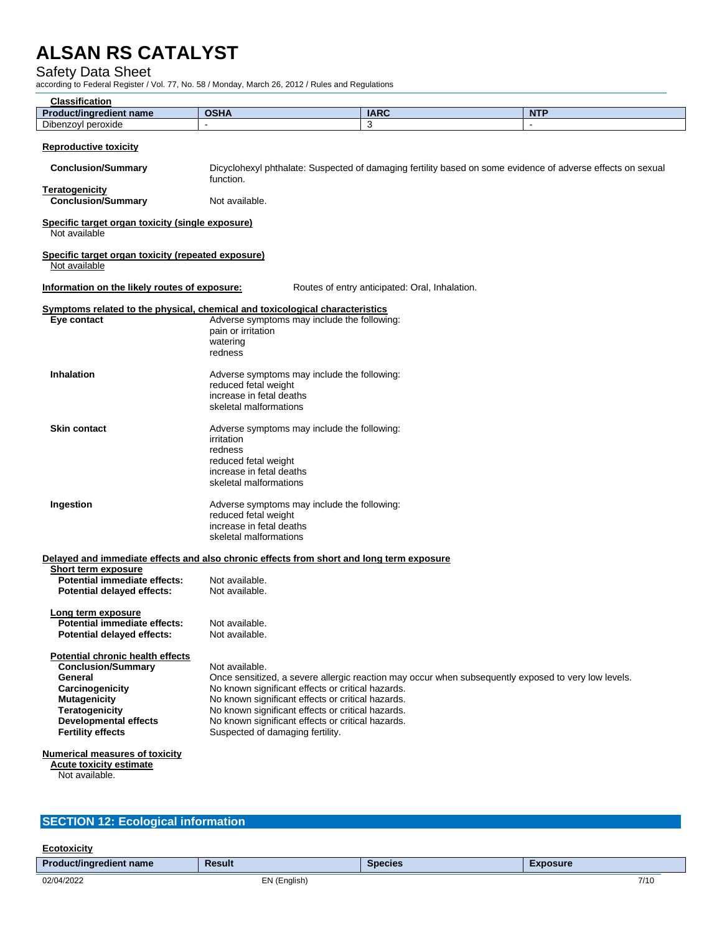## Safety Data Sheet

according to Federal Register / Vol. 77, No. 58 / Monday, March 26, 2012 / Rules and Regulations

| <br><b>Clossity</b><br>Classification |                            |             |            |
|---------------------------------------|----------------------------|-------------|------------|
| <b>Product/ingredient</b><br>name     | <b>OCUA</b><br><b>VONT</b> | <b>IARC</b> | <b>NTF</b> |
| Dibenzoyl<br>peroxide                 |                            |             |            |

#### **Reproductive toxicity**

 **Conclusion/Summary** Dicyclohexyl phthalate: Suspected of damaging fertility based on some evidence of adverse effects on sexual function.

**Teratogenicity Conclusion/Summary** Not available.

## **Specific target organ toxicity (single exposure)**

Not available

### **Specific target organ toxicity (repeated exposure)**

Not available

**Information on the likely routes of exposure:** Routes of entry anticipated: Oral, Inhalation.

### **Symptoms related to the physical, chemical and toxicological characteristics**

| Eye contact         | Adverse symptoms may include the following:<br>pain or irritation<br>watering<br>redness                                                           |
|---------------------|----------------------------------------------------------------------------------------------------------------------------------------------------|
| <b>Inhalation</b>   | Adverse symptoms may include the following:<br>reduced fetal weight<br>increase in fetal deaths<br>skeletal malformations                          |
| <b>Skin contact</b> | Adverse symptoms may include the following:<br>irritation<br>redness<br>reduced fetal weight<br>increase in fetal deaths<br>skeletal malformations |
| Ingestion           | Adverse symptoms may include the following:<br>reduced fetal weight<br>increase in fetal deaths<br>skeletal malformations                          |

#### **Delayed and immediate effects and also chronic effects from short and long term exposure Short term exposure**

| ONULL LEHII CADUSULE         |                |
|------------------------------|----------------|
| Potential immediate effects: | Not available. |
| Potential delayed effects:   | Not available. |
|                              |                |

#### **Long term exposure Potential immediate effects:** Not available.<br>**Potential delayed effects:** Not available. **Potential delayed effects:**

#### **Potential chronic health effects Conclusion/Summary** Not available. General **General Conce sensitized, a severe allergic reaction may occur when subsequently exposed to very low levels. Carcinogenicity** No known significant effects or critical hazards.<br> **Mutagenicity** No known significant effects or critical hazards. No known significant effects or critical hazards. **Teratogenicity** No known significant effects or critical hazards. **Developmental effects** No known significant effects or critical hazards.<br> **Fertility effects** Suspected of damaging fertility. Suspected of damaging fertility.

#### **Numerical measures of toxicity**

 **Acute toxicity estimate** Not available.

# **SECTION 12: Ecological information**

| Ecotoxicity                    |               |                |                 |
|--------------------------------|---------------|----------------|-----------------|
| <b>Product/ingredient name</b> | <b>Result</b> | <b>Species</b> | <b>Exposure</b> |
| 02/04/2022                     | EN (English)  |                | 7/10            |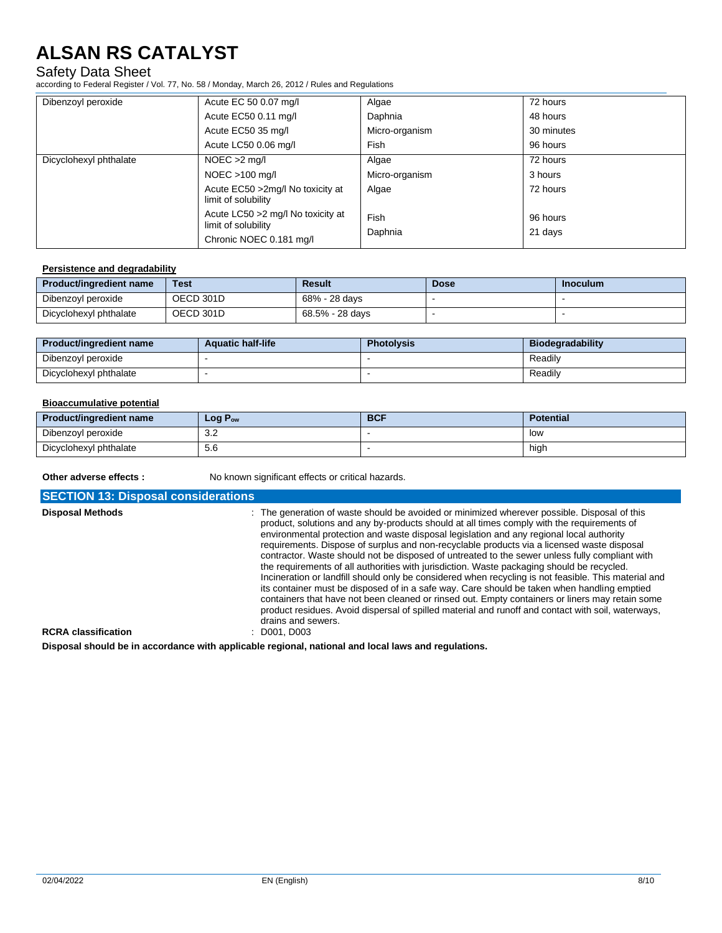# Safety Data Sheet

according to Federal Register / Vol. 77, No. 58 / Monday, March 26, 2012 / Rules and Regulations

| Dibenzoyl peroxide     | Acute EC 50 0.07 mg/l                                     | Algae           | 72 hours            |
|------------------------|-----------------------------------------------------------|-----------------|---------------------|
|                        | Acute EC50 0.11 mg/l                                      | Daphnia         | 48 hours            |
|                        | Acute EC50 35 mg/l                                        | Micro-organism  | 30 minutes          |
|                        | Acute LC50 0.06 mg/l                                      | Fish            | 96 hours            |
| Dicyclohexyl phthalate | $NOEC > 2$ mg/l                                           | Algae           | 72 hours            |
|                        | $NOEC > 100$ mg/l                                         | Micro-organism  | 3 hours             |
|                        | Acute EC50 > 2mg/l No toxicity at<br>limit of solubility  | Algae           | 72 hours            |
|                        | Acute LC50 > 2 mg/l No toxicity at<br>limit of solubility | Fish<br>Daphnia | 96 hours<br>21 days |
|                        | Chronic NOEC 0.181 mg/l                                   |                 |                     |

#### **Persistence and degradability**

| Product/ingredient name | <b>Test</b> | <b>Result</b>   | <b>Dose</b> | Inoculum |
|-------------------------|-------------|-----------------|-------------|----------|
| Dibenzoyl peroxide      | OECD 301D   | 68% - 28 days   |             |          |
| Dicyclohexyl phthalate  | OECD 301D   | 68.5% - 28 davs |             |          |

| Product/ingredient name | <b>Aquatic half-life</b> | <b>Photolysis</b> | <b>Biodegradability</b> |
|-------------------------|--------------------------|-------------------|-------------------------|
| Dibenzoyl peroxide      |                          |                   | Readily                 |
| Dicyclohexyl phthalate  |                          |                   | Readily                 |

## **Bioaccumulative potential**

| <b>Product/ingredient name</b> | $Log P_{ow}$  | <b>BCF</b> | <b>Potential</b> |
|--------------------------------|---------------|------------|------------------|
| Dibenzoyl peroxide             | $\sim$<br>v.z |            | low              |
| Dicyclohexyl phthalate         | 5.6           |            | high             |

**Other adverse effects :** No known significant effects or critical hazards.

**SECTION 13: Disposal considerations Disposal Methods** : The generation of waste should be avoided or minimized wherever possible. Disposal of this product, solutions and any by-products should at all times comply with the requirements of environmental protection and waste disposal legislation and any regional local authority requirements. Dispose of surplus and non-recyclable products via a licensed waste disposal contractor. Waste should not be disposed of untreated to the sewer unless fully compliant with the requirements of all authorities with jurisdiction. Waste packaging should be recycled. Incineration or landfill should only be considered when recycling is not feasible. This material and its container must be disposed of in a safe way. Care should be taken when handling emptied containers that have not been cleaned or rinsed out. Empty containers or liners may retain some product residues. Avoid dispersal of spilled material and runoff and contact with soil, waterways, drains and sewers.<br>: D001. D003  $RCRA$  classification

**Disposal should be in accordance with applicable regional, national and local laws and regulations.**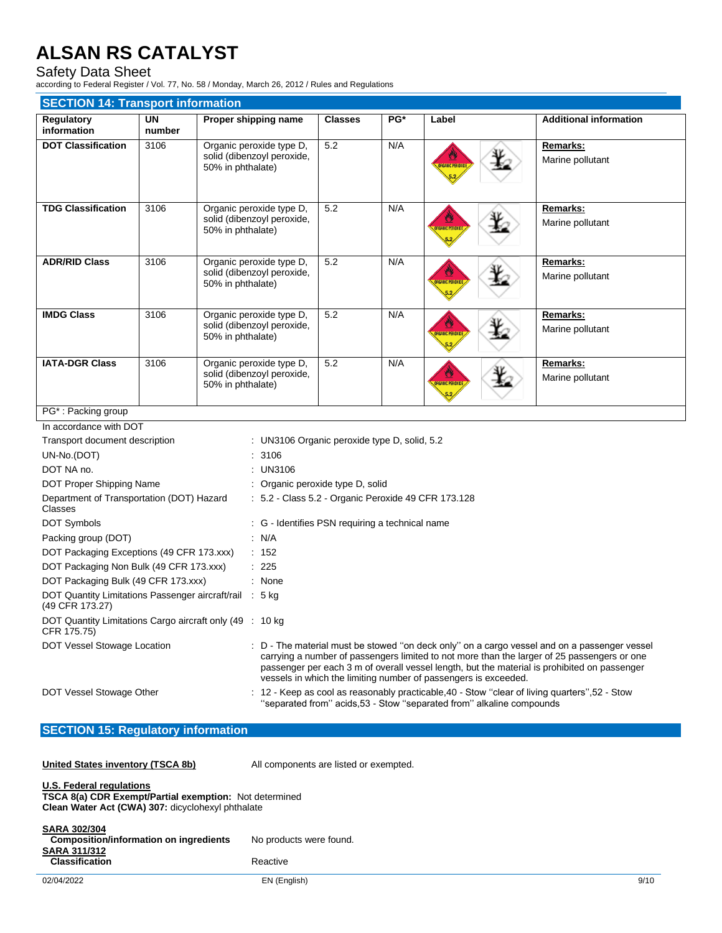# Safety Data Sheet

according to Federal Register / Vol. 77, No. 58 / Monday, March 26, 2012 / Rules and Regulations

| <b>SECTION 14: Transport information</b>  |                     |                                                                             |                |       |                                                   |                               |  |
|-------------------------------------------|---------------------|-----------------------------------------------------------------------------|----------------|-------|---------------------------------------------------|-------------------------------|--|
| Regulatory<br>information                 | <b>UN</b><br>number | Proper shipping name                                                        | <b>Classes</b> | $PG*$ | Label                                             | <b>Additional information</b> |  |
| <b>DOT Classification</b>                 | 3106                | Organic peroxide type D,<br>solid (dibenzoyl peroxide,<br>50% in phthalate) | 5.2            | N/A   | <b>IRGANIC PEROX</b>                              | Remarks:<br>Marine pollutant  |  |
| <b>TDG Classification</b>                 | 3106                | Organic peroxide type D,<br>solid (dibenzoyl peroxide,<br>50% in phthalate) | 5.2            | N/A   | <b>ORGANIC PEROXID</b>                            | Remarks:<br>Marine pollutant  |  |
| <b>ADR/RID Class</b>                      | 3106                | Organic peroxide type D,<br>solid (dibenzoyl peroxide,<br>50% in phthalate) | 5.2            | N/A   | <b>IRGANIC PEROX</b>                              | Remarks:<br>Marine pollutant  |  |
| <b>IMDG Class</b>                         | 3106                | Organic peroxide type D,<br>solid (dibenzoyl peroxide,<br>50% in phthalate) | 5.2            | N/A   | <b>ORGANIC PEROXIDE</b>                           | Remarks:<br>Marine pollutant  |  |
| <b>IATA-DGR Class</b>                     | 3106                | Organic peroxide type D,<br>solid (dibenzoyl peroxide,<br>50% in phthalate) | 5.2            | N/A   | <b>ORGANIC PEROXID</b>                            | Remarks:<br>Marine pollutant  |  |
| PG <sup>*</sup> : Packing group           |                     |                                                                             |                |       |                                                   |                               |  |
| In accordance with DOT                    |                     |                                                                             |                |       |                                                   |                               |  |
| Transport document description            |                     | : UN3106 Organic peroxide type D, solid, 5.2                                |                |       |                                                   |                               |  |
| UN-No.(DOT)                               |                     | : 3106                                                                      |                |       |                                                   |                               |  |
| DOT NA no.                                |                     | : UN3106                                                                    |                |       |                                                   |                               |  |
| DOT Proper Shipping Name                  |                     | : Organic peroxide type D, solid                                            |                |       |                                                   |                               |  |
| Department of Transportation (DOT) Hazard |                     |                                                                             |                |       | 5.2 - Class 5.2 - Organic Peroxide 49 CFR 173.128 |                               |  |

| $\sim$ 3.2 - Class 3.2 - Citatillo Feroxide 43 CFT TT 3.120                                                                                                                                                                                                                                                                                                    |
|----------------------------------------------------------------------------------------------------------------------------------------------------------------------------------------------------------------------------------------------------------------------------------------------------------------------------------------------------------------|
| : G - Identifies PSN requiring a technical name                                                                                                                                                                                                                                                                                                                |
| : $N/A$                                                                                                                                                                                                                                                                                                                                                        |
| : 152                                                                                                                                                                                                                                                                                                                                                          |
| : 225                                                                                                                                                                                                                                                                                                                                                          |
| : None                                                                                                                                                                                                                                                                                                                                                         |
| DOT Quantity Limitations Passenger aircraft/rail : 5 kg                                                                                                                                                                                                                                                                                                        |
| DOT Quantity Limitations Cargo aircraft only (49 : 10 kg)                                                                                                                                                                                                                                                                                                      |
| : D - The material must be stowed "on deck only" on a cargo vessel and on a passenger vessel<br>carrying a number of passengers limited to not more than the larger of 25 passengers or one<br>passenger per each 3 m of overall vessel length, but the material is prohibited on passenger<br>vessels in which the limiting number of passengers is exceeded. |
| $\pm$ 12 - Keep as cool as reasonably practicable, 40 - Stow "clear of living quarters", 52 - Stow<br>"separated from" acids, 53 - Stow "separated from" alkaline compounds                                                                                                                                                                                    |
|                                                                                                                                                                                                                                                                                                                                                                |

# **SECTION 15: Regulatory information**

**THE VIOLET STATES IN ALL COMPONENTS Are listed or exempted.** 

| <b>U.S. Federal regulations</b> |  |  |  |
|---------------------------------|--|--|--|
| TSCA 8(a) CDR Evamnt/P:         |  |  |  |

**TSCA 8(a) CDR Exempt/Partial exemption:** Not determined **Clean Water Act (CWA) 307:** dicyclohexyl phthalate

| <b>SARA 302/304</b><br>Composition/information on ingredients<br><b>SARA 311/312</b> | No products were found. |      |
|--------------------------------------------------------------------------------------|-------------------------|------|
| <b>Classification</b>                                                                | Reactive                |      |
| 02/04/2022                                                                           | EN (English)            | 9/10 |